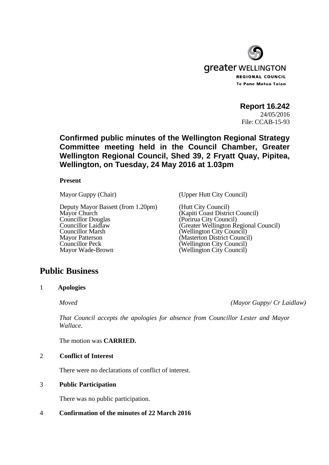

**Report 16.242** 

24/05/2016 File: CCAB-15-93

# **Confirmed public minutes of the Wellington Regional Strategy Committee meeting held in the Council Chamber, Greater Wellington Regional Council, Shed 39, 2 Fryatt Quay, Pipitea, Wellington, on Tuesday, 24 May 2016 at 1.03pm**

### **Present**

Deputy Mayor Bassett (from 1.20pm) (Hutt City Council)<br>Mayor Church (Kapiti Coast Distric Mayor Church (Kapiti Coast District Council)<br>Councillor Douglas (Porirua City Council) Councillor Douglas (Porirua City Council)<br>Councillor Laidlaw (Greater Wellington Re Councillor Marsh (Wellington City Council)<br>
Mayor Patterson (Masterton District Council) Mayor Patterson (Masterton District Council)<br>
Councillor Peck (Wellington City Council) Councillor Peck (Wellington City Council)<br>
Mayor Wade-Brown (Wellington City Council)

Mayor Guppy (Chair) (Upper Hutt City Council)

Councillor Laidlaw (Greater Wellington Regional Council)  $(Wellington City Council)$ 

# **Public Business**

1 **Apologies** 

 *Moved (Mayor Guppy/ Cr Laidlaw)* 

*That Council accepts the apologies for absence from Councillor Lester and Mayor Wallace.* 

The motion was **CARRIED.**

### 2 **Conflict of Interest**

There were no declarations of conflict of interest.

### 3 **Public Participation**

There was no public participation.

# 4 **Confirmation of the minutes of 22 March 2016**